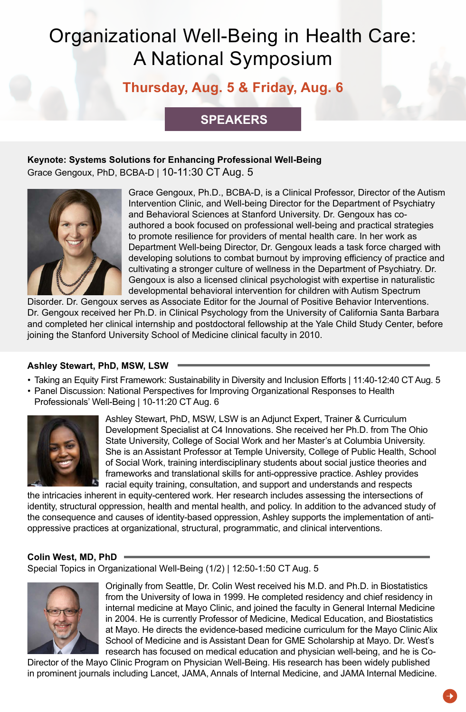## **Thursday, Aug. 5 & Friday, Aug. 6**

### **SPEAKERS**

### **Keynote: Systems Solutions for Enhancing Professional Well-Being**

Grace Gengoux, PhD, BCBA-D | 10-11:30 CT Aug. 5



Grace Gengoux, Ph.D., BCBA-D, is a Clinical Professor, Director of the Autism Intervention Clinic, and Well-being Director for the Department of Psychiatry and Behavioral Sciences at Stanford University. Dr. Gengoux has coauthored a book focused on professional well-being and practical strategies to promote resilience for providers of mental health care. In her work as Department Well-being Director, Dr. Gengoux leads a task force charged with developing solutions to combat burnout by improving efficiency of practice and cultivating a stronger culture of wellness in the Department of Psychiatry. Dr. Gengoux is also a licensed clinical psychologist with expertise in naturalistic developmental behavioral intervention for children with Autism Spectrum

Disorder. Dr. Gengoux serves as Associate Editor for the Journal of Positive Behavior Interventions. Dr. Gengoux received her Ph.D. in Clinical Psychology from the University of California Santa Barbara and completed her clinical internship and postdoctoral fellowship at the Yale Child Study Center, before joining the Stanford University School of Medicine clinical faculty in 2010.

### **Ashley Stewart, PhD, MSW, LSW**

- Taking an Equity First Framework: Sustainability in Diversity and Inclusion Efforts | 11:40-12:40 CT Aug. 5
- Panel Discussion: National Perspectives for Improving Organizational Responses to Health Professionals' Well-Being | 10-11:20 CT Aug. 6



Ashley Stewart, PhD, MSW, LSW is an Adjunct Expert, Trainer & Curriculum Development Specialist at C4 Innovations. She received her Ph.D. from The Ohio State University, College of Social Work and her Master's at Columbia University. She is an Assistant Professor at Temple University, College of Public Health, School of Social Work, training interdisciplinary students about social justice theories and frameworks and translational skills for anti-oppressive practice. Ashley provides racial equity training, consultation, and support and understands and respects

the intricacies inherent in equity-centered work. Her research includes assessing the intersections of identity, structural oppression, health and mental health, and policy. In addition to the advanced study of the consequence and causes of identity-based oppression, Ashley supports the implementation of antioppressive practices at organizational, structural, programmatic, and clinical interventions.

### **Colin West, MD, PhD**

Special Topics in Organizational Well-Being (1/2) | 12:50-1:50 CT Aug. 5



Originally from Seattle, Dr. Colin West received his M.D. and Ph.D. in Biostatistics from the University of Iowa in 1999. He completed residency and chief residency in internal medicine at Mayo Clinic, and joined the faculty in General Internal Medicine in 2004. He is currently Professor of Medicine, Medical Education, and Biostatistics at Mayo. He directs the evidence-based medicine curriculum for the Mayo Clinic Alix School of Medicine and is Assistant Dean for GME Scholarship at Mayo. Dr. West's research has focused on medical education and physician well-being, and he is Co-

Director of the Mayo Clinic Program on Physician Well-Being. His research has been widely published in prominent journals including Lancet, JAMA, Annals of Internal Medicine, and JAMA Internal Medicine.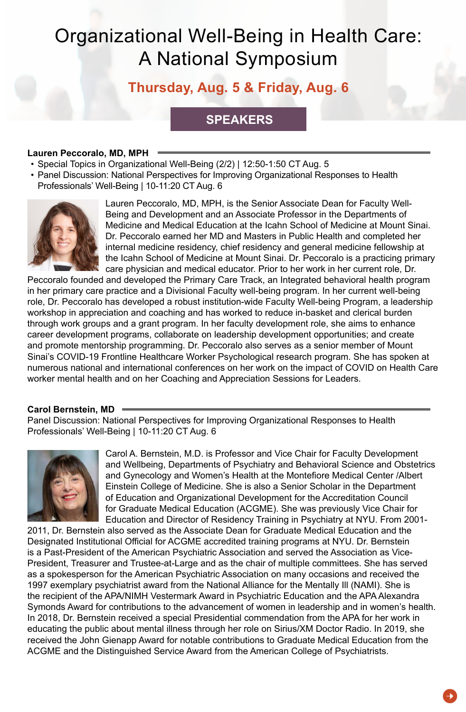## **Thursday, Aug. 5 & Friday, Aug. 6**

### **SPEAKERS**

#### **Lauren Peccoralo, MD, MPH**

- Special Topics in Organizational Well-Being (2/2) | 12:50-1:50 CT Aug. 5
- Panel Discussion: National Perspectives for Improving Organizational Responses to Health Professionals' Well-Being | 10-11:20 CT Aug. 6



Lauren Peccoralo, MD, MPH, is the Senior Associate Dean for Faculty Well-Being and Development and an Associate Professor in the Departments of Medicine and Medical Education at the Icahn School of Medicine at Mount Sinai. Dr. Peccoralo earned her MD and Masters in Public Health and completed her internal medicine residency, chief residency and general medicine fellowship at the Icahn School of Medicine at Mount Sinai. Dr. Peccoralo is a practicing primary care physician and medical educator. Prior to her work in her current role, Dr.

Peccoralo founded and developed the Primary Care Track, an Integrated behavioral health program in her primary care practice and a Divisional Faculty well-being program. In her current well-being role, Dr. Peccoralo has developed a robust institution-wide Faculty Well-being Program, a leadership workshop in appreciation and coaching and has worked to reduce in-basket and clerical burden through work groups and a grant program. In her faculty development role, she aims to enhance career development programs, collaborate on leadership development opportunities; and create and promote mentorship programming. Dr. Peccoralo also serves as a senior member of Mount Sinai's COVID-19 Frontline Healthcare Worker Psychological research program. She has spoken at numerous national and international conferences on her work on the impact of COVID on Health Care worker mental health and on her Coaching and Appreciation Sessions for Leaders.

#### **Carol Bernstein, MD**

Panel Discussion: National Perspectives for Improving Organizational Responses to Health Professionals' Well-Being | 10-11:20 CT Aug. 6



Carol A. Bernstein, M.D. is Professor and Vice Chair for Faculty Development and Wellbeing, Departments of Psychiatry and Behavioral Science and Obstetrics and Gynecology and Women's Health at the Montefiore Medical Center /Albert Einstein College of Medicine. She is also a Senior Scholar in the Department of Education and Organizational Development for the Accreditation Council for Graduate Medical Education (ACGME). She was previously Vice Chair for Education and Director of Residency Training in Psychiatry at NYU. From 2001-

2011, Dr. Bernstein also served as the Associate Dean for Graduate Medical Education and the Designated Institutional Official for ACGME accredited training programs at NYU. Dr. Bernstein is a Past-President of the American Psychiatric Association and served the Association as Vice-President, Treasurer and Trustee-at-Large and as the chair of multiple committees. She has served as a spokesperson for the American Psychiatric Association on many occasions and received the 1997 exemplary psychiatrist award from the National Alliance for the Mentally Ill (NAMI). She is the recipient of the APA/NIMH Vestermark Award in Psychiatric Education and the APA Alexandra Symonds Award for contributions to the advancement of women in leadership and in women's health. In 2018, Dr. Bernstein received a special Presidential commendation from the APA for her work in educating the public about mental illness through her role on Sirius/XM Doctor Radio. In 2019, she received the John Gienapp Award for notable contributions to Graduate Medical Education from the ACGME and the Distinguished Service Award from the American College of Psychiatrists.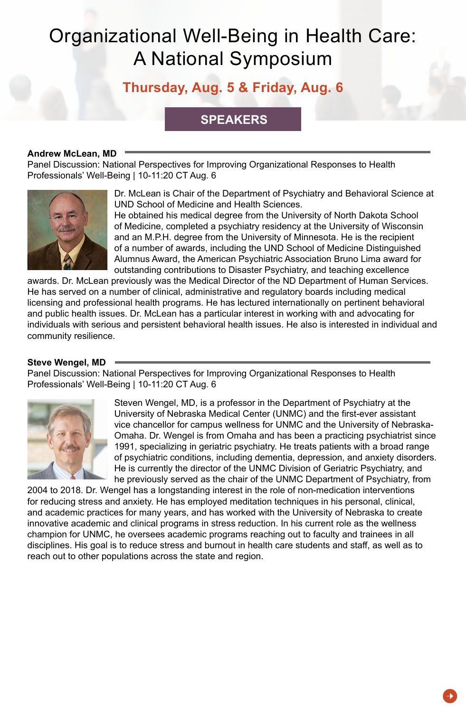## **Thursday, Aug. 5 & Friday, Aug. 6**

### **SPEAKERS**

#### **Andrew McLean, MD**

Panel Discussion: National Perspectives for Improving Organizational Responses to Health Professionals' Well-Being | 10-11:20 CT Aug. 6



Dr. McLean is Chair of the Department of Psychiatry and Behavioral Science at UND School of Medicine and Health Sciences.

He obtained his medical degree from the University of North Dakota School of Medicine, completed a psychiatry residency at the University of Wisconsin and an M.P.H. degree from the University of Minnesota. He is the recipient of a number of awards, including the UND School of Medicine Distinguished Alumnus Award, the American Psychiatric Association Bruno Lima award for outstanding contributions to Disaster Psychiatry, and teaching excellence

awards. Dr. McLean previously was the Medical Director of the ND Department of Human Services. He has served on a number of clinical, administrative and regulatory boards including medical licensing and professional health programs. He has lectured internationally on pertinent behavioral and public health issues. Dr. McLean has a particular interest in working with and advocating for individuals with serious and persistent behavioral health issues. He also is interested in individual and community resilience.

#### **Steve Wengel, MD**

Panel Discussion: National Perspectives for Improving Organizational Responses to Health Professionals' Well-Being | 10-11:20 CT Aug. 6



Steven Wengel, MD, is a professor in the Department of Psychiatry at the University of Nebraska Medical Center (UNMC) and the first-ever assistant vice chancellor for campus wellness for UNMC and the University of Nebraska-Omaha. Dr. Wengel is from Omaha and has been a practicing psychiatrist since 1991, specializing in geriatric psychiatry. He treats patients with a broad range of psychiatric conditions, including dementia, depression, and anxiety disorders. He is currently the director of the UNMC Division of Geriatric Psychiatry, and he previously served as the chair of the UNMC Department of Psychiatry, from

2004 to 2018. Dr. Wengel has a longstanding interest in the role of non-medication interventions for reducing stress and anxiety. He has employed meditation techniques in his personal, clinical, and academic practices for many years, and has worked with the University of Nebraska to create innovative academic and clinical programs in stress reduction. In his current role as the wellness champion for UNMC, he oversees academic programs reaching out to faculty and trainees in all disciplines. His goal is to reduce stress and burnout in health care students and staff, as well as to reach out to other populations across the state and region.